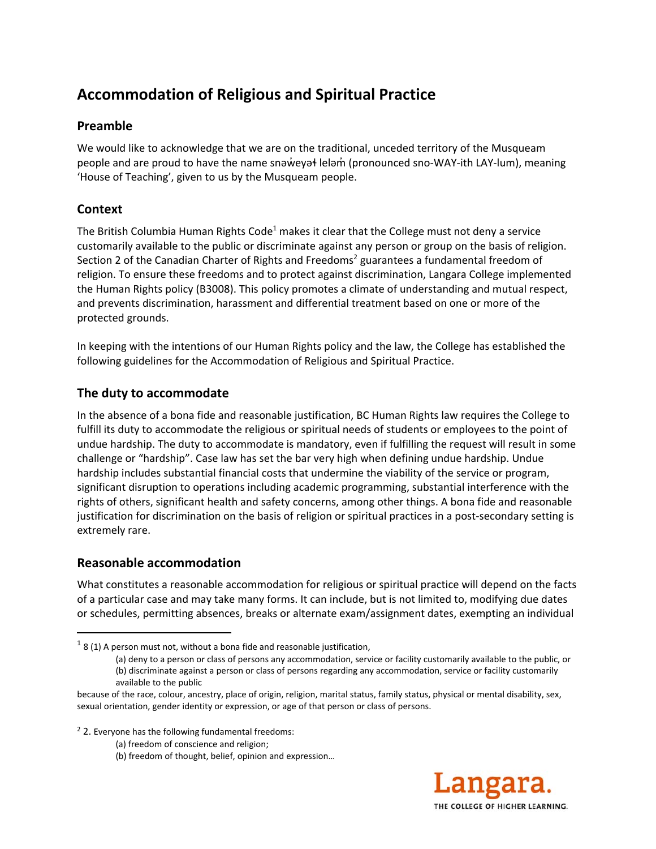# **Accommodation of Religious and Spiritual Practice**

## **Preamble**

We would like to acknowledge that we are on the traditional, unceded territory of the Musqueam people and are proud to have the name snaweyał lelam̓ (pronounced sno-WAY-ith LAY-lum), meaning 'House of Teaching', given to us by the Musqueam people.

## **Context**

The British Columbia Human Rights Code<sup>1</sup> makes it clear that the College must not deny a service customarily available to the public or discriminate against any person or group on the basis of religion. Section 2 of the Canadian Charter of Rights and Freedoms<sup>2</sup> guarantees a fundamental freedom of religion. To ensure these freedoms and to protect against discrimination, Langara College implemented the Human Rights policy (B3008). This policy promotes a climate of understanding and mutual respect, and prevents discrimination, harassment and differential treatment based on one or more of the protected grounds.

In keeping with the intentions of our Human Rights policy and the law, the College has established the following guidelines for the Accommodation of Religious and Spiritual Practice.

## **The duty to accommodate**

In the absence of a bona fide and reasonable justification, BC Human Rights law requires the College to fulfill its duty to accommodate the religious or spiritual needs of students or employees to the point of undue hardship. The duty to accommodate is mandatory, even if fulfilling the request will result in some challenge or "hardship". Case law has set the bar very high when defining undue hardship. Undue hardship includes substantial financial costs that undermine the viability of the service or program, significant disruption to operations including academic programming, substantial interference with the rights of others, significant health and safety concerns, among other things. A bona fide and reasonable justification for discrimination on the basis of religion or spiritual practices in a post‐secondary setting is extremely rare.

## **Reasonable accommodation**

What constitutes a reasonable accommodation for religious or spiritual practice will depend on the facts of a particular case and may take many forms. It can include, but is not limited to, modifying due dates or schedules, permitting absences, breaks or alternate exam/assignment dates, exempting an individual



 $18$  (1) A person must not, without a bona fide and reasonable justification,

<sup>(</sup>a) deny to a person or class of persons any accommodation, service or facility customarily available to the public, or (b) discriminate against a person or class of persons regarding any accommodation, service or facility customarily available to the public

because of the race, colour, ancestry, place of origin, religion, marital status, family status, physical or mental disability, sex, sexual orientation, gender identity or expression, or age of that person or class of persons.

<sup>&</sup>lt;sup>2</sup> 2. Everyone has the following fundamental freedoms:

<sup>(</sup>a) freedom of conscience and religion;

<sup>(</sup>b) freedom of thought, belief, opinion and expression…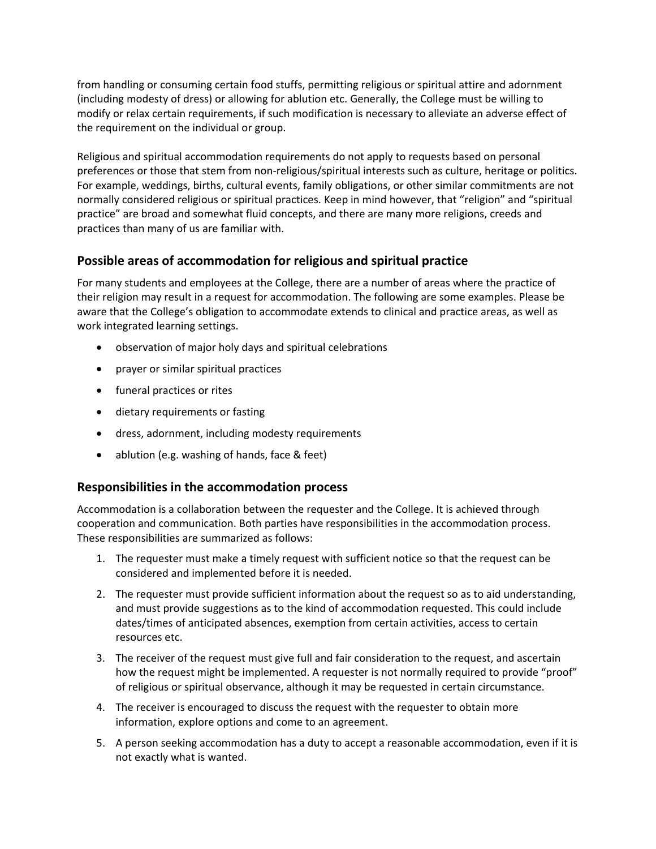from handling or consuming certain food stuffs, permitting religious or spiritual attire and adornment (including modesty of dress) or allowing for ablution etc. Generally, the College must be willing to modify or relax certain requirements, if such modification is necessary to alleviate an adverse effect of the requirement on the individual or group.

Religious and spiritual accommodation requirements do not apply to requests based on personal preferences or those that stem from non-religious/spiritual interests such as culture, heritage or politics. For example, weddings, births, cultural events, family obligations, or other similar commitments are not normally considered religious or spiritual practices. Keep in mind however, that "religion" and "spiritual practice" are broad and somewhat fluid concepts, and there are many more religions, creeds and practices than many of us are familiar with.

## **Possible areas of accommodation for religious and spiritual practice**

For many students and employees at the College, there are a number of areas where the practice of their religion may result in a request for accommodation. The following are some examples. Please be aware that the College's obligation to accommodate extends to clinical and practice areas, as well as work integrated learning settings.

- observation of major holy days and spiritual celebrations
- prayer or similar spiritual practices
- funeral practices or rites
- dietary requirements or fasting
- dress, adornment, including modesty requirements
- ablution (e.g. washing of hands, face & feet)

## **Responsibilities in the accommodation process**

Accommodation is a collaboration between the requester and the College. It is achieved through cooperation and communication. Both parties have responsibilities in the accommodation process. These responsibilities are summarized as follows:

- 1. The requester must make a timely request with sufficient notice so that the request can be considered and implemented before it is needed.
- 2. The requester must provide sufficient information about the request so as to aid understanding, and must provide suggestions as to the kind of accommodation requested. This could include dates/times of anticipated absences, exemption from certain activities, access to certain resources etc.
- 3. The receiver of the request must give full and fair consideration to the request, and ascertain how the request might be implemented. A requester is not normally required to provide "proof" of religious or spiritual observance, although it may be requested in certain circumstance.
- 4. The receiver is encouraged to discuss the request with the requester to obtain more information, explore options and come to an agreement.
- 5. A person seeking accommodation has a duty to accept a reasonable accommodation, even if it is not exactly what is wanted.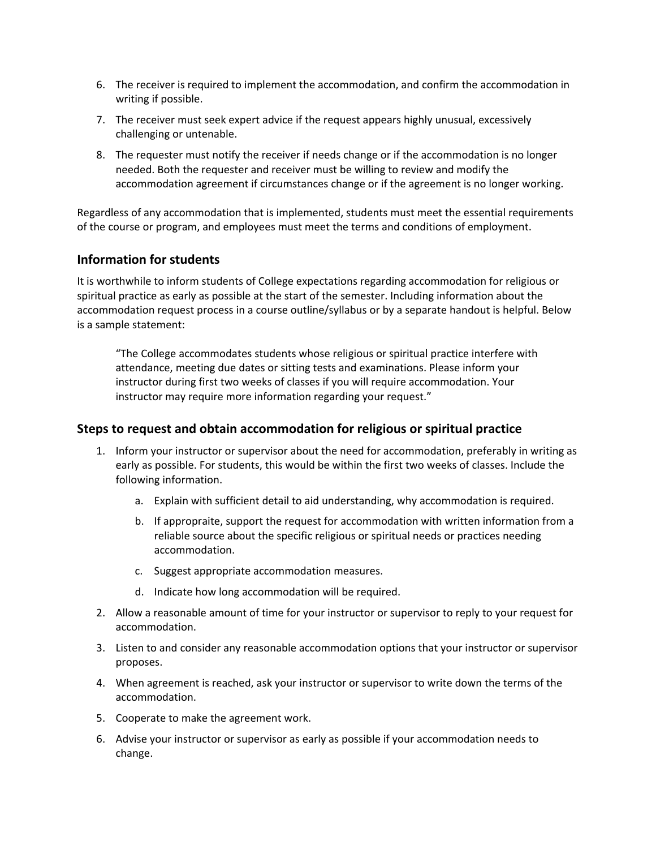- 6. The receiver is required to implement the accommodation, and confirm the accommodation in writing if possible.
- 7. The receiver must seek expert advice if the request appears highly unusual, excessively challenging or untenable.
- 8. The requester must notify the receiver if needs change or if the accommodation is no longer needed. Both the requester and receiver must be willing to review and modify the accommodation agreement if circumstances change or if the agreement is no longer working.

Regardless of any accommodation that is implemented, students must meet the essential requirements of the course or program, and employees must meet the terms and conditions of employment.

#### **Information for students**

It is worthwhile to inform students of College expectations regarding accommodation for religious or spiritual practice as early as possible at the start of the semester. Including information about the accommodation request process in a course outline/syllabus or by a separate handout is helpful. Below is a sample statement:

"The College accommodates students whose religious or spiritual practice interfere with attendance, meeting due dates or sitting tests and examinations. Please inform your instructor during first two weeks of classes if you will require accommodation. Your instructor may require more information regarding your request."

#### **Steps to request and obtain accommodation for religious or spiritual practice**

- 1. Inform your instructor or supervisor about the need for accommodation, preferably in writing as early as possible. For students, this would be within the first two weeks of classes. Include the following information.
	- a. Explain with sufficient detail to aid understanding, why accommodation is required.
	- b. If appropraite, support the request for accommodation with written information from a reliable source about the specific religious or spiritual needs or practices needing accommodation.
	- c. Suggest appropriate accommodation measures.
	- d. Indicate how long accommodation will be required.
- 2. Allow a reasonable amount of time for your instructor or supervisor to reply to your request for accommodation.
- 3. Listen to and consider any reasonable accommodation options that your instructor or supervisor proposes.
- 4. When agreement is reached, ask your instructor or supervisor to write down the terms of the accommodation.
- 5. Cooperate to make the agreement work.
- 6. Advise your instructor or supervisor as early as possible if your accommodation needs to change.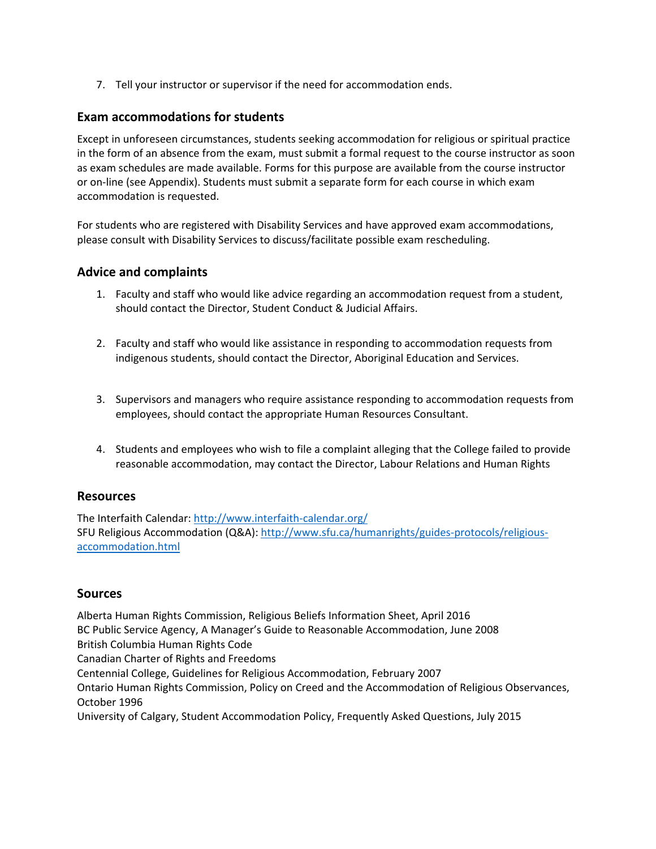7. Tell your instructor or supervisor if the need for accommodation ends.

#### **Exam accommodations for students**

Except in unforeseen circumstances, students seeking accommodation for religious or spiritual practice in the form of an absence from the exam, must submit a formal request to the course instructor as soon as exam schedules are made available. Forms for this purpose are available from the course instructor or on-line (see Appendix). Students must submit a separate form for each course in which exam accommodation is requested.

For students who are registered with Disability Services and have approved exam accommodations, please consult with Disability Services to discuss/facilitate possible exam rescheduling.

#### **Advice and complaints**

- 1. Faculty and staff who would like advice regarding an accommodation request from a student, should contact the Director, Student Conduct & Judicial Affairs.
- 2. Faculty and staff who would like assistance in responding to accommodation requests from indigenous students, should contact the Director, Aboriginal Education and Services.
- 3. Supervisors and managers who require assistance responding to accommodation requests from employees, should contact the appropriate Human Resources Consultant.
- 4. Students and employees who wish to file a complaint alleging that the College failed to provide reasonable accommodation, may contact the Director, Labour Relations and Human Rights

#### **Resources**

The Interfaith Calendar: http://www.interfaith‐calendar.org/ SFU Religious Accommodation (Q&A): http://www.sfu.ca/humanrights/guides‐protocols/religious‐ accommodation.html

#### **Sources**

Alberta Human Rights Commission, Religious Beliefs Information Sheet, April 2016 BC Public Service Agency, A Manager's Guide to Reasonable Accommodation, June 2008 British Columbia Human Rights Code Canadian Charter of Rights and Freedoms Centennial College, Guidelines for Religious Accommodation, February 2007 Ontario Human Rights Commission, Policy on Creed and the Accommodation of Religious Observances, October 1996 University of Calgary, Student Accommodation Policy, Frequently Asked Questions, July 2015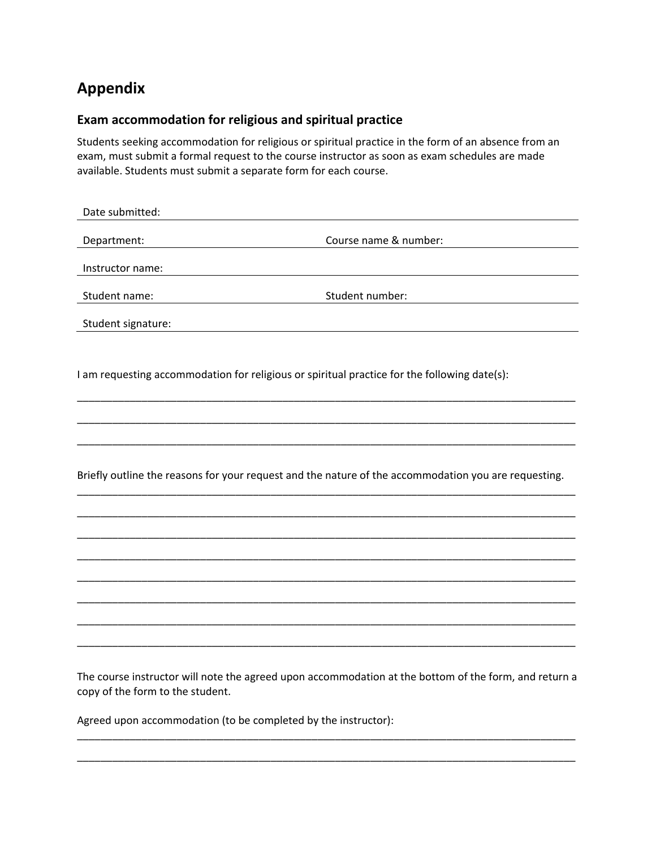# **Appendix**

# **Exam accommodation for religious and spiritual practice**

Students seeking accommodation for religious or spiritual practice in the form of an absence from an exam, must submit a formal request to the course instructor as soon as exam schedules are made available. Students must submit a separate form for each course.

| Date submitted:                  |                                                                                                       |
|----------------------------------|-------------------------------------------------------------------------------------------------------|
| Department:                      | Course name & number:                                                                                 |
| Instructor name:                 |                                                                                                       |
| Student name:                    | Student number:                                                                                       |
| Student signature:               |                                                                                                       |
|                                  |                                                                                                       |
|                                  | I am requesting accommodation for religious or spiritual practice for the following date(s):          |
|                                  |                                                                                                       |
|                                  |                                                                                                       |
|                                  | Briefly outline the reasons for your request and the nature of the accommodation you are requesting.  |
|                                  |                                                                                                       |
|                                  |                                                                                                       |
|                                  |                                                                                                       |
|                                  |                                                                                                       |
|                                  |                                                                                                       |
| copy of the form to the student. | The course instructor will note the agreed upon accommodation at the bottom of the form, and return a |

\_\_\_\_\_\_\_\_\_\_\_\_\_\_\_\_\_\_\_\_\_\_\_\_\_\_\_\_\_\_\_\_\_\_\_\_\_\_\_\_\_\_\_\_\_\_\_\_\_\_\_\_\_\_\_\_\_\_\_\_\_\_\_\_\_\_\_\_\_\_\_\_\_\_\_\_\_\_\_\_\_\_\_\_\_

\_\_\_\_\_\_\_\_\_\_\_\_\_\_\_\_\_\_\_\_\_\_\_\_\_\_\_\_\_\_\_\_\_\_\_\_\_\_\_\_\_\_\_\_\_\_\_\_\_\_\_\_\_\_\_\_\_\_\_\_\_\_\_\_\_\_\_\_\_\_\_\_\_\_\_\_\_\_\_\_\_\_\_\_\_

Agreed upon accommodation (to be completed by the instructor):